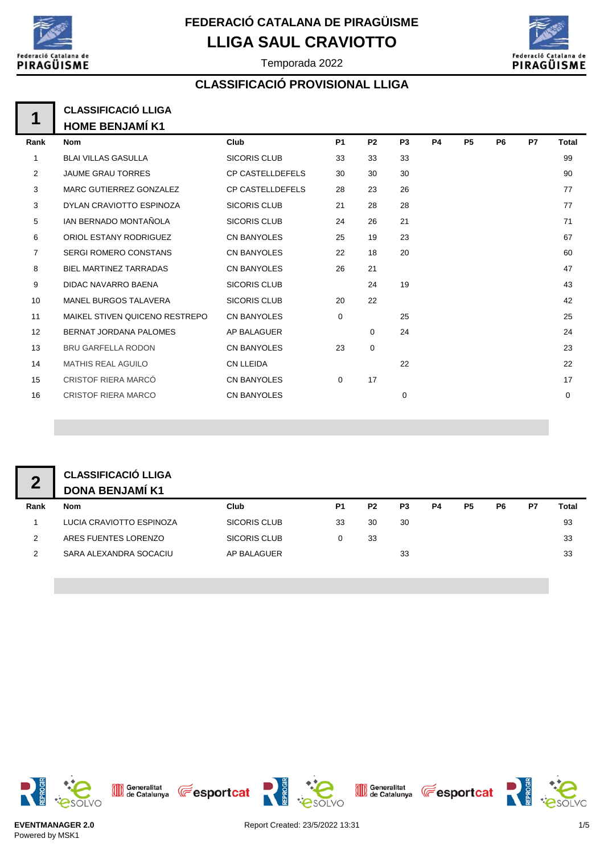

Federació atalana de PIRAGÜISME

Temporada 2022

## **CLASSIFICACIÓ PROVISIONAL LLIGA**

| A | <b>CLASSIFICACIÓ LLIGA</b> |
|---|----------------------------|
|   | <b>HOME BENJAMÍ K1</b>     |

| Rank           | <b>Nom</b>                     | Club                    | P <sub>1</sub> | P <sub>2</sub> | P <sub>3</sub> | <b>P4</b> | <b>P5</b> | P6 | P7 | Total |
|----------------|--------------------------------|-------------------------|----------------|----------------|----------------|-----------|-----------|----|----|-------|
| 1              | <b>BLAI VILLAS GASULLA</b>     | <b>SICORIS CLUB</b>     | 33             | 33             | 33             |           |           |    |    | 99    |
| 2              | <b>JAUME GRAU TORRES</b>       | <b>CP CASTELLDEFELS</b> | 30             | 30             | 30             |           |           |    |    | 90    |
| 3              | MARC GUTIERREZ GONZALEZ        | <b>CP CASTELLDEFELS</b> | 28             | 23             | 26             |           |           |    |    | 77    |
| 3              | DYLAN CRAVIOTTO ESPINOZA       | <b>SICORIS CLUB</b>     | 21             | 28             | 28             |           |           |    |    | 77    |
| 5              | IAN BERNADO MONTAÑOLA          | <b>SICORIS CLUB</b>     | 24             | 26             | 21             |           |           |    |    | 71    |
| 6              | ORIOL ESTANY RODRIGUEZ         | <b>CN BANYOLES</b>      | 25             | 19             | 23             |           |           |    |    | 67    |
| $\overline{7}$ | <b>SERGI ROMERO CONSTANS</b>   | <b>CN BANYOLES</b>      | 22             | 18             | 20             |           |           |    |    | 60    |
| 8              | <b>BIEL MARTINEZ TARRADAS</b>  | <b>CN BANYOLES</b>      | 26             | 21             |                |           |           |    |    | 47    |
| 9              | <b>DIDAC NAVARRO BAENA</b>     | <b>SICORIS CLUB</b>     |                | 24             | 19             |           |           |    |    | 43    |
| 10             | <b>MANEL BURGOS TALAVERA</b>   | <b>SICORIS CLUB</b>     | 20             | 22             |                |           |           |    |    | 42    |
| 11             | MAIKEL STIVEN QUICENO RESTREPO | <b>CN BANYOLES</b>      | 0              |                | 25             |           |           |    |    | 25    |
| 12             | BERNAT JORDANA PALOMES         | AP BALAGUER             |                | $\Omega$       | 24             |           |           |    |    | 24    |
| 13             | <b>BRU GARFELLA RODON</b>      | <b>CN BANYOLES</b>      | 23             | $\mathbf 0$    |                |           |           |    |    | 23    |
| 14             | <b>MATHIS REAL AGUILO</b>      | <b>CN LLEIDA</b>        |                |                | 22             |           |           |    |    | 22    |
| 15             | CRISTOF RIERA MARCÓ            | <b>CN BANYOLES</b>      | 0              | 17             |                |           |           |    |    | 17    |
| 16             | <b>CRISTOF RIERA MARCO</b>     | <b>CN BANYOLES</b>      |                |                | 0              |           |           |    |    | 0     |
|                |                                |                         |                |                |                |           |           |    |    |       |

| <b>CLASSIFIC</b> |
|------------------|
| DONA BE          |

### **CACIÓ LLIGA DONA BENJA**

|      | DONA BENJAMI K1          |              |                |                |    |    |    |    |    |       |
|------|--------------------------|--------------|----------------|----------------|----|----|----|----|----|-------|
| Rank | <b>Nom</b>               | Club         | P <sub>1</sub> | P <sub>2</sub> | P3 | P4 | P5 | P6 | P7 | Total |
|      | LUCIA CRAVIOTTO ESPINOZA | SICORIS CLUB | 33             | 30             | 30 |    |    |    |    | 93    |
|      | ARES FUENTES LORENZO     | SICORIS CLUB |                | 33             |    |    |    |    |    | 33    |
|      | SARA ALEXANDRA SOCACIU   | AP BALAGUER  |                |                | 33 |    |    |    |    | 33    |
|      |                          |              |                |                |    |    |    |    |    |       |



Generalitat (Eesportcat





**esoLVO**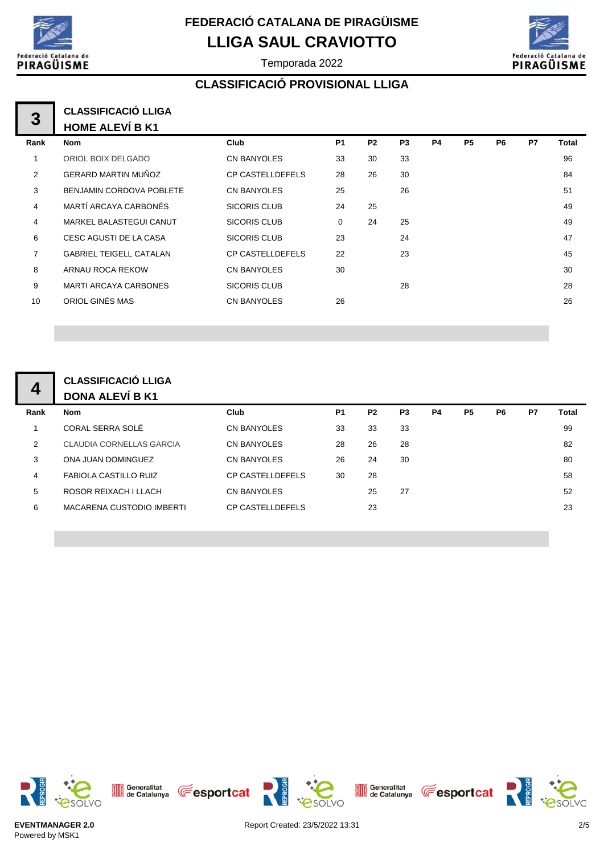



Temporada 2022

## **CLASSIFICACIÓ PROVISIONAL LLIGA**

#### **1 3 CLASSIFICACIÓ LLIGA HOME ALEVÍ B K1**

|                | .                              |                         |                |                |                |           |                |    |    |       |
|----------------|--------------------------------|-------------------------|----------------|----------------|----------------|-----------|----------------|----|----|-------|
| Rank           | <b>Nom</b>                     | Club                    | P <sub>1</sub> | P <sub>2</sub> | P <sub>3</sub> | <b>P4</b> | P <sub>5</sub> | P6 | P7 | Total |
|                | ORIOL BOIX DELGADO             | <b>CN BANYOLES</b>      | 33             | 30             | 33             |           |                |    |    | 96    |
| 2              | <b>GERARD MARTIN MUÑOZ</b>     | <b>CP CASTELLDEFELS</b> | 28             | 26             | 30             |           |                |    |    | 84    |
| 3              | BENJAMIN CORDOVA POBLETE       | <b>CN BANYOLES</b>      | 25             |                | 26             |           |                |    |    | 51    |
| 4              | MARTÍ ARCAYA CARBONÉS          | <b>SICORIS CLUB</b>     | 24             | 25             |                |           |                |    |    | 49    |
| 4              | <b>MARKEL BALASTEGUI CANUT</b> | <b>SICORIS CLUB</b>     | 0              | 24             | 25             |           |                |    |    | 49    |
| 6              | CESC AGUSTI DE LA CASA         | <b>SICORIS CLUB</b>     | 23             |                | 24             |           |                |    |    | 47    |
| $\overline{7}$ | <b>GABRIEL TEIGELL CATALAN</b> | <b>CP CASTELLDEFELS</b> | 22             |                | 23             |           |                |    |    | 45    |
| 8              | ARNAU ROCA REKOW               | <b>CN BANYOLES</b>      | 30             |                |                |           |                |    |    | 30    |
| 9              | <b>MARTI ARCAYA CARBONES</b>   | <b>SICORIS CLUB</b>     |                |                | 28             |           |                |    |    | 28    |
| 10             | ORIOL GINÉS MAS                | <b>CN BANYOLES</b>      | 26             |                |                |           |                |    |    | 26    |
|                |                                |                         |                |                |                |           |                |    |    |       |

#### **CLASSIFICACIÓ LLIGA DONA ALEVÍ B K1 4**

| Rank | <b>Nom</b>                | Club                    | P <sub>1</sub> | P <sub>2</sub> | P <sub>3</sub> | P4 | P <sub>5</sub> | P6 | P7 | Total |
|------|---------------------------|-------------------------|----------------|----------------|----------------|----|----------------|----|----|-------|
| 1    | CORAL SERRA SOLÉ          | CN BANYOLES             | 33             | 33             | 33             |    |                |    |    | 99    |
| 2    | CLAUDIA CORNELLAS GARCIA  | <b>CN BANYOLES</b>      | 28             | 26             | 28             |    |                |    |    | 82    |
| 3    | ONA JUAN DOMINGUEZ        | <b>CN BANYOLES</b>      | 26             | 24             | 30             |    |                |    |    | 80    |
| 4    | FABIOLA CASTILLO RUIZ     | <b>CP CASTELLDEFELS</b> | 30             | 28             |                |    |                |    |    | 58    |
| 5    | ROSOR REIXACH I LLACH     | <b>CN BANYOLES</b>      |                | 25             | 27             |    |                |    |    | 52    |
| 6    | MACARENA CUSTODIO IMBERTI | <b>CP CASTELLDEFELS</b> |                | 23             |                |    |                |    |    | 23    |
|      |                           |                         |                |                |                |    |                |    |    |       |



Generalitat **CE** esportcat

esolvo

Generalitat **The Sportcat** 

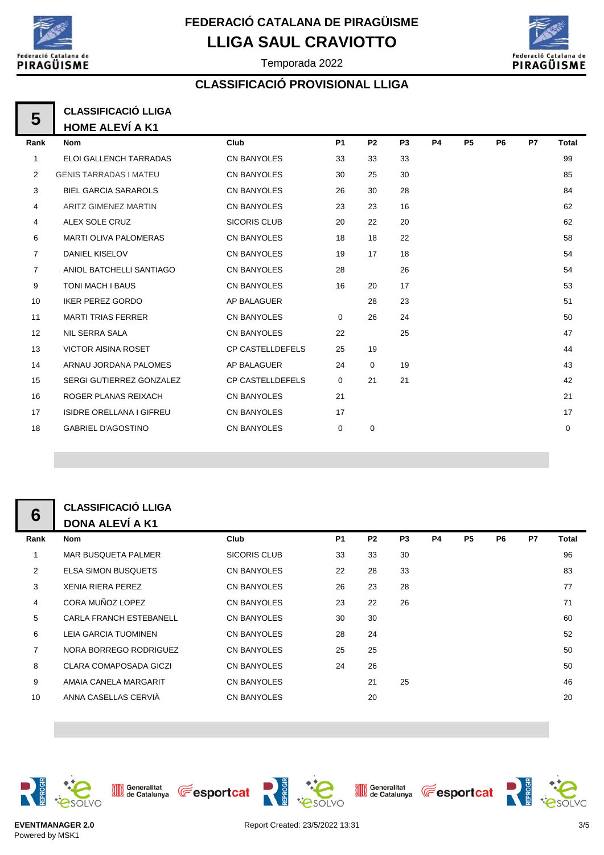

Temporada 2022



### **CLASSIFICACIÓ PROVISIONAL LLIGA**

#### **5 CLASSIFICACIÓ LLIGA HOME ALEVÍ A K1**

| Rank           | <b>Nom</b>                      | Club                    | P <sub>1</sub> | P <sub>2</sub> | P <sub>3</sub> | <b>P4</b> | <b>P5</b> | P <sub>6</sub> | <b>P7</b> | Total |
|----------------|---------------------------------|-------------------------|----------------|----------------|----------------|-----------|-----------|----------------|-----------|-------|
| $\mathbf{1}$   | ELOI GALLENCH TARRADAS          | <b>CN BANYOLES</b>      | 33             | 33             | 33             |           |           |                |           | 99    |
| 2              | <b>GENIS TARRADAS I MATEU</b>   | <b>CN BANYOLES</b>      | 30             | 25             | 30             |           |           |                |           | 85    |
| 3              | <b>BIEL GARCIA SARAROLS</b>     | <b>CN BANYOLES</b>      | 26             | 30             | 28             |           |           |                |           | 84    |
| 4              | <b>ARITZ GIMENEZ MARTIN</b>     | <b>CN BANYOLES</b>      | 23             | 23             | 16             |           |           |                |           | 62    |
| 4              | ALEX SOLE CRUZ                  | <b>SICORIS CLUB</b>     | 20             | 22             | 20             |           |           |                |           | 62    |
| 6              | <b>MARTI OLIVA PALOMERAS</b>    | <b>CN BANYOLES</b>      | 18             | 18             | 22             |           |           |                |           | 58    |
| $\overline{7}$ | <b>DANIEL KISELOV</b>           | <b>CN BANYOLES</b>      | 19             | 17             | 18             |           |           |                |           | 54    |
| $\overline{7}$ | ANIOL BATCHELLI SANTIAGO        | <b>CN BANYOLES</b>      | 28             |                | 26             |           |           |                |           | 54    |
| 9              | TONI MACH I BAUS                | <b>CN BANYOLES</b>      | 16             | 20             | 17             |           |           |                |           | 53    |
| 10             | <b>IKER PEREZ GORDO</b>         | AP BALAGUER             |                | 28             | 23             |           |           |                |           | 51    |
| 11             | <b>MARTI TRIAS FERRER</b>       | <b>CN BANYOLES</b>      | $\Omega$       | 26             | 24             |           |           |                |           | 50    |
| 12             | <b>NIL SERRA SALA</b>           | <b>CN BANYOLES</b>      | 22             |                | 25             |           |           |                |           | 47    |
| 13             | <b>VICTOR AISINA ROSET</b>      | <b>CP CASTELLDEFELS</b> | 25             | 19             |                |           |           |                |           | 44    |
| 14             | ARNAU JORDANA PALOMES           | AP BALAGUER             | 24             | $\mathbf 0$    | 19             |           |           |                |           | 43    |
| 15             | SERGI GUTIERREZ GONZALEZ        | <b>CP CASTELLDEFELS</b> | $\mathbf 0$    | 21             | 21             |           |           |                |           | 42    |
| 16             | ROGER PLANAS REIXACH            | <b>CN BANYOLES</b>      | 21             |                |                |           |           |                |           | 21    |
| 17             | <b>ISIDRE ORELLANA I GIFREU</b> | <b>CN BANYOLES</b>      | 17             |                |                |           |           |                |           | 17    |
| 18             | <b>GABRIEL D'AGOSTINO</b>       | <b>CN BANYOLES</b>      | 0              | $\mathbf 0$    |                |           |           |                |           | 0     |
|                |                                 |                         |                |                |                |           |           |                |           |       |

### **CLASSIFICACIÓ LLIGA DONA ALEVÍ A K1**

|                | ULAJJIFIUAUIU LLIUA            |                     |           |                |                |           |                |                |           |       |
|----------------|--------------------------------|---------------------|-----------|----------------|----------------|-----------|----------------|----------------|-----------|-------|
| 6              | <b>DONA ALEVÍ A K1</b>         |                     |           |                |                |           |                |                |           |       |
| Rank           | <b>Nom</b>                     | <b>Club</b>         | <b>P1</b> | P <sub>2</sub> | P <sub>3</sub> | <b>P4</b> | P <sub>5</sub> | P <sub>6</sub> | <b>P7</b> | Total |
| 1              | <b>MAR BUSQUETA PALMER</b>     | <b>SICORIS CLUB</b> | 33        | 33             | 30             |           |                |                |           | 96    |
| $\overline{2}$ | <b>ELSA SIMON BUSQUETS</b>     | <b>CN BANYOLES</b>  | 22        | 28             | 33             |           |                |                |           | 83    |
| 3              | <b>XENIA RIERA PEREZ</b>       | <b>CN BANYOLES</b>  | 26        | 23             | 28             |           |                |                |           | 77    |
| $\overline{4}$ | CORA MUÑOZ LOPEZ               | <b>CN BANYOLES</b>  | 23        | 22             | 26             |           |                |                |           | 71    |
| 5              | <b>CARLA FRANCH ESTEBANELL</b> | <b>CN BANYOLES</b>  | 30        | 30             |                |           |                |                |           | 60    |
| 6              | <b>LEIA GARCIA TUOMINEN</b>    | <b>CN BANYOLES</b>  | 28        | 24             |                |           |                |                |           | 52    |
| $\overline{7}$ | NORA BORREGO RODRIGUEZ         | <b>CN BANYOLES</b>  | 25        | 25             |                |           |                |                |           | 50    |
| 8              | CLARA COMAPOSADA GICZI         | <b>CN BANYOLES</b>  | 24        | 26             |                |           |                |                |           | 50    |
| 9              | AMAIA CANELA MARGARIT          | <b>CN BANYOLES</b>  |           | 21             | 25             |           |                |                |           | 46    |
| 10             | ANNA CASELLAS CERVIA           | <b>CN BANYOLES</b>  |           | 20             |                |           |                |                |           | 20    |
|                |                                |                     |           |                |                |           |                |                |           |       |



Generalitat **CE** esportcat





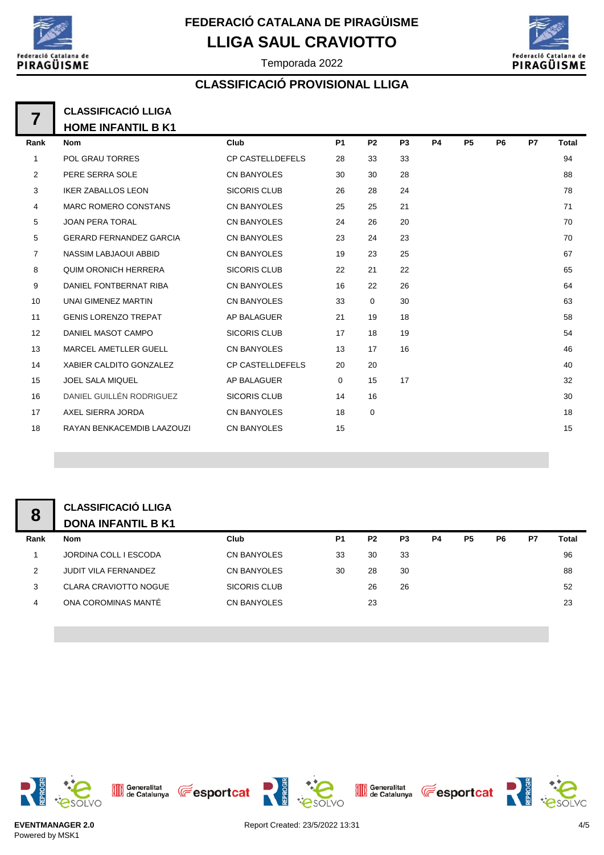

# **LLIGA SAUL CRAVIOTTO FEDERACIÓ CATALANA DE PIRAGÜISME**



Temporada 2022

## **CLASSIFICACIÓ PROVISIONAL LLIGA**

## **CLASSIFICACIÓ LLIGA HOME INFANTIL B K1**

| Rank           | <b>Nom</b>                     | Club                    | P <sub>1</sub> | P <sub>2</sub> | P <sub>3</sub> | P4 | P <sub>5</sub> | P6 | P7 | Total |
|----------------|--------------------------------|-------------------------|----------------|----------------|----------------|----|----------------|----|----|-------|
| 1              | <b>POL GRAU TORRES</b>         | <b>CP CASTELLDEFELS</b> | 28             | 33             | 33             |    |                |    |    | 94    |
| $\overline{2}$ | PERE SERRA SOLE                | <b>CN BANYOLES</b>      | 30             | 30             | 28             |    |                |    |    | 88    |
| 3              | <b>IKER ZABALLOS LEON</b>      | <b>SICORIS CLUB</b>     | 26             | 28             | 24             |    |                |    |    | 78    |
| 4              | <b>MARC ROMERO CONSTANS</b>    | <b>CN BANYOLES</b>      | 25             | 25             | 21             |    |                |    |    | 71    |
| 5              | <b>JOAN PERA TORAL</b>         | <b>CN BANYOLES</b>      | 24             | 26             | 20             |    |                |    |    | 70    |
| 5              | <b>GERARD FERNANDEZ GARCIA</b> | <b>CN BANYOLES</b>      | 23             | 24             | 23             |    |                |    |    | 70    |
| $\overline{7}$ | <b>NASSIM LABJAOUI ABBID</b>   | <b>CN BANYOLES</b>      | 19             | 23             | 25             |    |                |    |    | 67    |
| 8              | <b>QUIM ORONICH HERRERA</b>    | <b>SICORIS CLUB</b>     | 22             | 21             | 22             |    |                |    |    | 65    |
| 9              | DANIEL FONTBERNAT RIBA         | <b>CN BANYOLES</b>      | 16             | 22             | 26             |    |                |    |    | 64    |
| 10             | UNAI GIMENEZ MARTIN            | <b>CN BANYOLES</b>      | 33             | $\mathbf 0$    | 30             |    |                |    |    | 63    |
| 11             | <b>GENIS LORENZO TREPAT</b>    | <b>AP BALAGUER</b>      | 21             | 19             | 18             |    |                |    |    | 58    |
| 12             | DANIEL MASOT CAMPO             | <b>SICORIS CLUB</b>     | 17             | 18             | 19             |    |                |    |    | 54    |
| 13             | <b>MARCEL AMETLLER GUELL</b>   | <b>CN BANYOLES</b>      | 13             | 17             | 16             |    |                |    |    | 46    |
| 14             | XABIER CALDITO GONZALEZ        | <b>CP CASTELLDEFELS</b> | 20             | 20             |                |    |                |    |    | 40    |
| 15             | <b>JOEL SALA MIQUEL</b>        | AP BALAGUER             | $\mathbf 0$    | 15             | 17             |    |                |    |    | 32    |
| 16             | DANIEL GUILLÉN RODRIGUEZ       | <b>SICORIS CLUB</b>     | 14             | 16             |                |    |                |    |    | 30    |
| 17             | AXEL SIERRA JORDA              | <b>CN BANYOLES</b>      | 18             | $\mathbf 0$    |                |    |                |    |    | 18    |
| 18             | RAYAN BENKACEMDIB LAAZOUZI     | <b>CN BANYOLES</b>      | 15             |                |                |    |                |    |    | 15    |
|                |                                |                         |                |                |                |    |                |    |    |       |

#### **CLASSIFICACIÓ LLIGA DONA INFANTIL B K1**

| Rank | <b>Nom</b>                   | Club               | P <sub>1</sub> | P <sub>2</sub> | P3 | P4 | P5 | P6 | P7 | Total |
|------|------------------------------|--------------------|----------------|----------------|----|----|----|----|----|-------|
|      | JORDINA COLL I ESCODA        | <b>CN BANYOLES</b> | 33             | 30             | 33 |    |    |    |    | 96    |
| 2    | <b>JUDIT VILA FERNANDEZ</b>  | <b>CN BANYOLES</b> | 30             | 28             | 30 |    |    |    |    | 88    |
| 3    | <b>CLARA CRAVIOTTO NOGUE</b> | SICORIS CLUB       |                | 26             | 26 |    |    |    |    | 52    |
|      | ONA COROMINAS MANTÉ          | <b>CN BANYOLES</b> |                | 23             |    |    |    |    |    | 23    |
|      |                              |                    |                |                |    |    |    |    |    |       |



**EVENTMANAGER 2.0** Powered by MSK1

Generalitat **CE** esportcat



**esoLVO** 

Generalitat **The Sportcat**